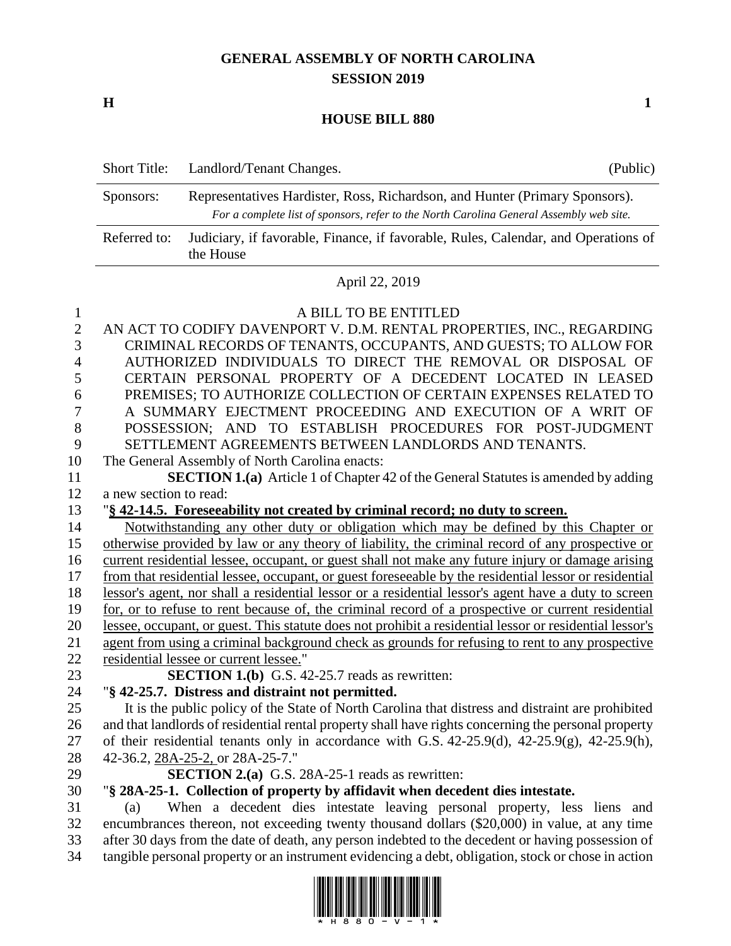## **GENERAL ASSEMBLY OF NORTH CAROLINA SESSION 2019**

**H 1**

## **HOUSE BILL 880**

|                                                        | <b>Short Title:</b>    | Landlord/Tenant Changes.                                                                                                                                                                                                                                                                                                                                                                                                                                                                                                                             | (Public) |  |  |  |
|--------------------------------------------------------|------------------------|------------------------------------------------------------------------------------------------------------------------------------------------------------------------------------------------------------------------------------------------------------------------------------------------------------------------------------------------------------------------------------------------------------------------------------------------------------------------------------------------------------------------------------------------------|----------|--|--|--|
|                                                        | Sponsors:              | Representatives Hardister, Ross, Richardson, and Hunter (Primary Sponsors).<br>For a complete list of sponsors, refer to the North Carolina General Assembly web site.                                                                                                                                                                                                                                                                                                                                                                               |          |  |  |  |
|                                                        | Referred to:           | Judiciary, if favorable, Finance, if favorable, Rules, Calendar, and Operations of<br>the House                                                                                                                                                                                                                                                                                                                                                                                                                                                      |          |  |  |  |
|                                                        |                        | April 22, 2019                                                                                                                                                                                                                                                                                                                                                                                                                                                                                                                                       |          |  |  |  |
| 1<br>$\overline{2}$<br>3<br>4<br>5<br>6<br>7<br>8<br>9 |                        | A BILL TO BE ENTITLED<br>AN ACT TO CODIFY DAVENPORT V. D.M. RENTAL PROPERTIES, INC., REGARDING<br>CRIMINAL RECORDS OF TENANTS, OCCUPANTS, AND GUESTS; TO ALLOW FOR<br>AUTHORIZED INDIVIDUALS TO DIRECT THE REMOVAL OR DISPOSAL OF<br>CERTAIN PERSONAL PROPERTY OF A DECEDENT LOCATED IN LEASED<br>PREMISES; TO AUTHORIZE COLLECTION OF CERTAIN EXPENSES RELATED TO<br>A SUMMARY EJECTMENT PROCEEDING AND EXECUTION OF A WRIT OF<br>POSSESSION; AND TO ESTABLISH PROCEDURES FOR POST-JUDGMENT<br>SETTLEMENT AGREEMENTS BETWEEN LANDLORDS AND TENANTS. |          |  |  |  |
| 10                                                     |                        | The General Assembly of North Carolina enacts:                                                                                                                                                                                                                                                                                                                                                                                                                                                                                                       |          |  |  |  |
| 11                                                     |                        | <b>SECTION 1.(a)</b> Article 1 of Chapter 42 of the General Statutes is amended by adding                                                                                                                                                                                                                                                                                                                                                                                                                                                            |          |  |  |  |
| 12                                                     | a new section to read: |                                                                                                                                                                                                                                                                                                                                                                                                                                                                                                                                                      |          |  |  |  |
| 13                                                     |                        | "§ 42-14.5. Foreseeability not created by criminal record; no duty to screen.                                                                                                                                                                                                                                                                                                                                                                                                                                                                        |          |  |  |  |
| 14                                                     |                        | Notwithstanding any other duty or obligation which may be defined by this Chapter or                                                                                                                                                                                                                                                                                                                                                                                                                                                                 |          |  |  |  |
| 15                                                     |                        | otherwise provided by law or any theory of liability, the criminal record of any prospective or                                                                                                                                                                                                                                                                                                                                                                                                                                                      |          |  |  |  |
| 16                                                     |                        | current residential lessee, occupant, or guest shall not make any future injury or damage arising                                                                                                                                                                                                                                                                                                                                                                                                                                                    |          |  |  |  |
| 17                                                     |                        | from that residential lessee, occupant, or guest foreseeable by the residential lessor or residential                                                                                                                                                                                                                                                                                                                                                                                                                                                |          |  |  |  |
| 18                                                     |                        | lessor's agent, nor shall a residential lessor or a residential lessor's agent have a duty to screen                                                                                                                                                                                                                                                                                                                                                                                                                                                 |          |  |  |  |
| 19                                                     |                        | for, or to refuse to rent because of, the criminal record of a prospective or current residential                                                                                                                                                                                                                                                                                                                                                                                                                                                    |          |  |  |  |
| 20                                                     |                        | lessee, occupant, or guest. This statute does not prohibit a residential lessor or residential lessor's                                                                                                                                                                                                                                                                                                                                                                                                                                              |          |  |  |  |
| 21                                                     |                        | agent from using a criminal background check as grounds for refusing to rent to any prospective                                                                                                                                                                                                                                                                                                                                                                                                                                                      |          |  |  |  |
| 22                                                     |                        | residential lessee or current lessee."                                                                                                                                                                                                                                                                                                                                                                                                                                                                                                               |          |  |  |  |
| 23                                                     |                        | <b>SECTION 1.(b)</b> G.S. 42-25.7 reads as rewritten:                                                                                                                                                                                                                                                                                                                                                                                                                                                                                                |          |  |  |  |
| 24                                                     |                        | "§ 42-25.7. Distress and distraint not permitted.                                                                                                                                                                                                                                                                                                                                                                                                                                                                                                    |          |  |  |  |
| 25                                                     |                        | It is the public policy of the State of North Carolina that distress and distraint are prohibited                                                                                                                                                                                                                                                                                                                                                                                                                                                    |          |  |  |  |
| 26                                                     |                        | and that landlords of residential rental property shall have rights concerning the personal property                                                                                                                                                                                                                                                                                                                                                                                                                                                 |          |  |  |  |
| 27                                                     |                        | of their residential tenants only in accordance with G.S. $42-25.9(d)$ , $42-25.9(g)$ , $42-25.9(h)$ ,                                                                                                                                                                                                                                                                                                                                                                                                                                               |          |  |  |  |
| 28                                                     |                        | 42-36.2, 28A-25-2, or 28A-25-7."                                                                                                                                                                                                                                                                                                                                                                                                                                                                                                                     |          |  |  |  |
| 29                                                     |                        | <b>SECTION 2.(a)</b> G.S. 28A-25-1 reads as rewritten:                                                                                                                                                                                                                                                                                                                                                                                                                                                                                               |          |  |  |  |
| 30                                                     |                        | "§ 28A-25-1. Collection of property by affidavit when decedent dies intestate.                                                                                                                                                                                                                                                                                                                                                                                                                                                                       |          |  |  |  |
| 31                                                     | (a)                    | When a decedent dies intestate leaving personal property, less liens and                                                                                                                                                                                                                                                                                                                                                                                                                                                                             |          |  |  |  |
| 32                                                     |                        | encumbrances thereon, not exceeding twenty thousand dollars (\$20,000) in value, at any time                                                                                                                                                                                                                                                                                                                                                                                                                                                         |          |  |  |  |
| 33<br>34                                               |                        | after 30 days from the date of death, any person indebted to the decedent or having possession of<br>tangible personal property or an instrument evidencing a debt, obligation, stock or chose in action                                                                                                                                                                                                                                                                                                                                             |          |  |  |  |

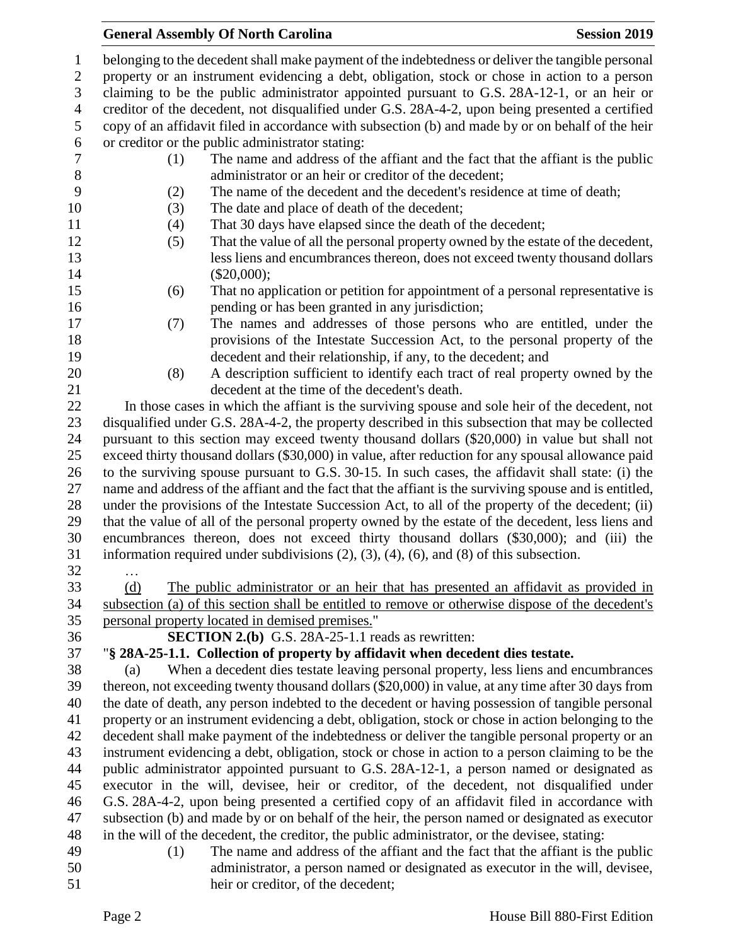## **General Assembly Of North Carolina Session 2019**

| $\mathbf{1}$   | belonging to the decedent shall make payment of the indebtedness or deliver the tangible personal      |  |  |  |  |
|----------------|--------------------------------------------------------------------------------------------------------|--|--|--|--|
| $\sqrt{2}$     | property or an instrument evidencing a debt, obligation, stock or chose in action to a person          |  |  |  |  |
| 3              | claiming to be the public administrator appointed pursuant to G.S. 28A-12-1, or an heir or             |  |  |  |  |
| $\overline{4}$ | creditor of the decedent, not disqualified under G.S. 28A-4-2, upon being presented a certified        |  |  |  |  |
| 5              | copy of an affidavit filed in accordance with subsection (b) and made by or on behalf of the heir      |  |  |  |  |
| 6              | or creditor or the public administrator stating:                                                       |  |  |  |  |
| $\tau$         | The name and address of the affiant and the fact that the affiant is the public<br>(1)                 |  |  |  |  |
| $8\,$          | administrator or an heir or creditor of the decedent;                                                  |  |  |  |  |
| 9              | The name of the decedent and the decedent's residence at time of death;<br>(2)                         |  |  |  |  |
| 10             | The date and place of death of the decedent;<br>(3)                                                    |  |  |  |  |
| 11             | That 30 days have elapsed since the death of the decedent;<br>(4)                                      |  |  |  |  |
| 12             | That the value of all the personal property owned by the estate of the decedent,<br>(5)                |  |  |  |  |
| 13             | less liens and encumbrances thereon, does not exceed twenty thousand dollars                           |  |  |  |  |
| 14             | $(\$20,000);$                                                                                          |  |  |  |  |
| 15             | That no application or petition for appointment of a personal representative is                        |  |  |  |  |
|                | (6)                                                                                                    |  |  |  |  |
| 16             | pending or has been granted in any jurisdiction;                                                       |  |  |  |  |
| 17             | The names and addresses of those persons who are entitled, under the<br>(7)                            |  |  |  |  |
| 18             | provisions of the Intestate Succession Act, to the personal property of the                            |  |  |  |  |
| 19             | decedent and their relationship, if any, to the decedent; and                                          |  |  |  |  |
| 20             | (8)<br>A description sufficient to identify each tract of real property owned by the                   |  |  |  |  |
| 21             | decedent at the time of the decedent's death.                                                          |  |  |  |  |
| 22             | In those cases in which the affiant is the surviving spouse and sole heir of the decedent, not         |  |  |  |  |
| 23             | disqualified under G.S. 28A-4-2, the property described in this subsection that may be collected       |  |  |  |  |
| 24             | pursuant to this section may exceed twenty thousand dollars (\$20,000) in value but shall not          |  |  |  |  |
| 25             | exceed thirty thousand dollars (\$30,000) in value, after reduction for any spousal allowance paid     |  |  |  |  |
| 26             | to the surviving spouse pursuant to G.S. 30-15. In such cases, the affidavit shall state: (i) the      |  |  |  |  |
| 27             | name and address of the affiant and the fact that the affiant is the surviving spouse and is entitled, |  |  |  |  |
| 28             | under the provisions of the Intestate Succession Act, to all of the property of the decedent; (ii)     |  |  |  |  |
| 29             | that the value of all of the personal property owned by the estate of the decedent, less liens and     |  |  |  |  |
| 30             | encumbrances thereon, does not exceed thirty thousand dollars (\$30,000); and (iii) the                |  |  |  |  |
| 31             | information required under subdivisions $(2)$ , $(3)$ , $(4)$ , $(6)$ , and $(8)$ of this subsection.  |  |  |  |  |
| 32             | $\cdots$                                                                                               |  |  |  |  |
| 33             | The public administrator or an heir that has presented an affidavit as provided in<br>(d)              |  |  |  |  |
| 34             | subsection (a) of this section shall be entitled to remove or otherwise dispose of the decedent's      |  |  |  |  |
| 35             | personal property located in demised premises."                                                        |  |  |  |  |
| 36             | <b>SECTION 2.(b)</b> G.S. 28A-25-1.1 reads as rewritten:                                               |  |  |  |  |
| 37             | "§ 28A-25-1.1. Collection of property by affidavit when decedent dies testate.                         |  |  |  |  |
| 38             | When a decedent dies testate leaving personal property, less liens and encumbrances<br>(a)             |  |  |  |  |
| 39             | thereon, not exceeding twenty thousand dollars (\$20,000) in value, at any time after 30 days from     |  |  |  |  |
| 40             | the date of death, any person indebted to the decedent or having possession of tangible personal       |  |  |  |  |
| 41             | property or an instrument evidencing a debt, obligation, stock or chose in action belonging to the     |  |  |  |  |
| 42             | decedent shall make payment of the indebtedness or deliver the tangible personal property or an        |  |  |  |  |
| 43             | instrument evidencing a debt, obligation, stock or chose in action to a person claiming to be the      |  |  |  |  |
| 44             | public administrator appointed pursuant to G.S. 28A-12-1, a person named or designated as              |  |  |  |  |
| 45             | executor in the will, devisee, heir or creditor, of the decedent, not disqualified under               |  |  |  |  |
| 46             | G.S. 28A-4-2, upon being presented a certified copy of an affidavit filed in accordance with           |  |  |  |  |
| 47             | subsection (b) and made by or on behalf of the heir, the person named or designated as executor        |  |  |  |  |
| 48             | in the will of the decedent, the creditor, the public administrator, or the devisee, stating:          |  |  |  |  |
| 49             | The name and address of the affiant and the fact that the affiant is the public<br>(1)                 |  |  |  |  |
| 50             | administrator, a person named or designated as executor in the will, devisee,                          |  |  |  |  |
| 51             | heir or creditor, of the decedent;                                                                     |  |  |  |  |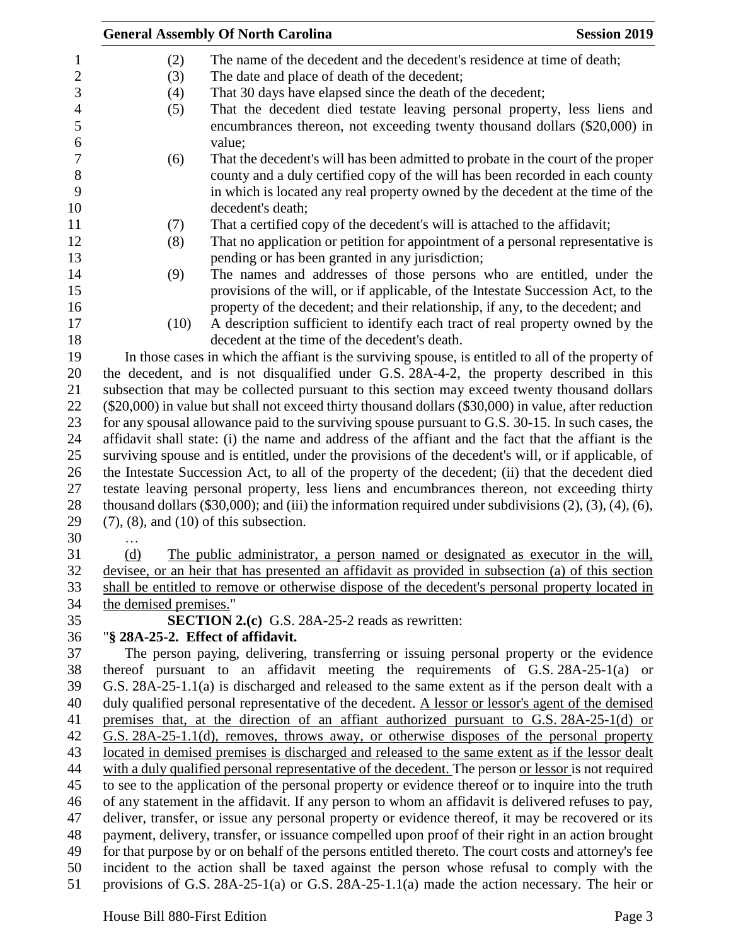|                        | <b>General Assembly Of North Carolina</b>                                                                             | <b>Session 2019</b> |
|------------------------|-----------------------------------------------------------------------------------------------------------------------|---------------------|
| (2)                    | The name of the decedent and the decedent's residence at time of death;                                               |                     |
| (3)                    | The date and place of death of the decedent;                                                                          |                     |
| (4)                    | That 30 days have elapsed since the death of the decedent;                                                            |                     |
| (5)                    | That the decedent died testate leaving personal property, less liens and                                              |                     |
|                        | encumbrances thereon, not exceeding twenty thousand dollars (\$20,000) in<br>value;                                   |                     |
| (6)                    | That the decedent's will has been admitted to probate in the court of the proper                                      |                     |
|                        | county and a duly certified copy of the will has been recorded in each county                                         |                     |
|                        | in which is located any real property owned by the decedent at the time of the                                        |                     |
|                        | decedent's death;                                                                                                     |                     |
| (7)                    | That a certified copy of the decedent's will is attached to the affidavit;                                            |                     |
| (8)                    | That no application or petition for appointment of a personal representative is                                       |                     |
|                        | pending or has been granted in any jurisdiction;                                                                      |                     |
| (9)                    | The names and addresses of those persons who are entitled, under the                                                  |                     |
|                        | provisions of the will, or if applicable, of the Intestate Succession Act, to the                                     |                     |
|                        | property of the decedent; and their relationship, if any, to the decedent; and                                        |                     |
| (10)                   | A description sufficient to identify each tract of real property owned by the                                         |                     |
|                        | decedent at the time of the decedent's death.                                                                         |                     |
|                        | In those cases in which the affiant is the surviving spouse, is entitled to all of the property of                    |                     |
|                        | the decedent, and is not disqualified under G.S. 28A-4-2, the property described in this                              |                     |
|                        | subsection that may be collected pursuant to this section may exceed twenty thousand dollars                          |                     |
|                        | (\$20,000) in value but shall not exceed thirty thousand dollars (\$30,000) in value, after reduction                 |                     |
|                        | for any spousal allowance paid to the surviving spouse pursuant to G.S. 30-15. In such cases, the                     |                     |
|                        | affidavit shall state: (i) the name and address of the affiant and the fact that the affiant is the                   |                     |
|                        | surviving spouse and is entitled, under the provisions of the decedent's will, or if applicable, of                   |                     |
|                        | the Intestate Succession Act, to all of the property of the decedent; (ii) that the decedent died                     |                     |
|                        | testate leaving personal property, less liens and encumbrances thereon, not exceeding thirty                          |                     |
|                        | thousand dollars $(\$30,000)$ ; and (iii) the information required under subdivisions $(2)$ , $(3)$ , $(4)$ , $(6)$ , |                     |
|                        | $(7)$ , $(8)$ , and $(10)$ of this subsection.                                                                        |                     |
| .                      |                                                                                                                       |                     |
| (d)                    | The public administrator, a person named or designated as executor in the will,                                       |                     |
|                        | devisee, or an heir that has presented an affidavit as provided in subsection (a) of this section                     |                     |
|                        | shall be entitled to remove or otherwise dispose of the decedent's personal property located in                       |                     |
| the demised premises." |                                                                                                                       |                     |
|                        | <b>SECTION 2.(c)</b> G.S. 28A-25-2 reads as rewritten:                                                                |                     |
|                        | "§ 28A-25-2. Effect of affidavit.                                                                                     |                     |
|                        | The person paying, delivering, transferring or issuing personal property or the evidence                              |                     |
|                        | thereof pursuant to an affidavit meeting the requirements of G.S. 28A-25-1(a) or                                      |                     |
|                        | G.S. 28A-25-1.1(a) is discharged and released to the same extent as if the person dealt with a                        |                     |
|                        | duly qualified personal representative of the decedent. A lessor or lessor's agent of the demised                     |                     |
|                        | premises that, at the direction of an affiant authorized pursuant to G.S. 28A-25-1(d) or                              |                     |
|                        | G.S. 28A-25-1.1(d), removes, throws away, or otherwise disposes of the personal property                              |                     |
|                        | located in demised premises is discharged and released to the same extent as if the lessor dealt                      |                     |
|                        | with a duly qualified personal representative of the decedent. The person or lessor is not required                   |                     |
|                        | to see to the application of the personal property or evidence thereof or to inquire into the truth                   |                     |
|                        | of any statement in the affidavit. If any person to whom an affidavit is delivered refuses to pay,                    |                     |
|                        | deliver, transfer, or issue any personal property or evidence thereof, it may be recovered or its                     |                     |
|                        | payment, delivery, transfer, or issuance compelled upon proof of their right in an action brought                     |                     |
|                        | for that purpose by or on behalf of the persons entitled thereto. The court costs and attorney's fee                  |                     |
|                        | incident to the action shall be taxed against the person whose refusal to comply with the                             |                     |
|                        | provisions of G.S. 28A-25-1(a) or G.S. 28A-25-1.1(a) made the action necessary. The heir or                           |                     |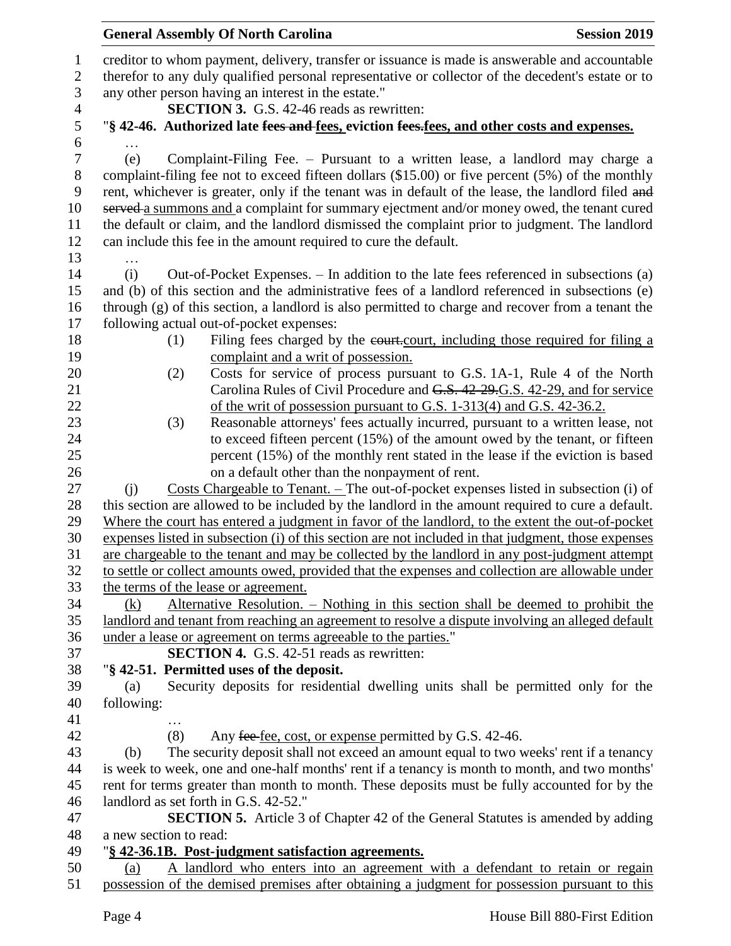## creditor to whom payment, delivery, transfer or issuance is made is answerable and accountable therefor to any duly qualified personal representative or collector of the decedent's estate or to any other person having an interest in the estate." **SECTION 3.** G.S. 42-46 reads as rewritten: "**§ 42-46. Authorized late fees and fees, eviction fees.fees, and other costs and expenses.** … (e) Complaint-Filing Fee. – Pursuant to a written lease, a landlord may charge a complaint-filing fee not to exceed fifteen dollars (\$15.00) or five percent (5%) of the monthly 9 rent, whichever is greater, only if the tenant was in default of the lease, the landlord filed and 10 served a summons and a complaint for summary ejectment and/or money owed, the tenant cured the default or claim, and the landlord dismissed the complaint prior to judgment. The landlord can include this fee in the amount required to cure the default. … (i) Out-of-Pocket Expenses. – In addition to the late fees referenced in subsections (a) and (b) of this section and the administrative fees of a landlord referenced in subsections (e) through (g) of this section, a landlord is also permitted to charge and recover from a tenant the following actual out-of-pocket expenses: 18 (1) Filing fees charged by the court, including those required for filing a complaint and a writ of possession. (2) Costs for service of process pursuant to G.S. 1A-1, Rule 4 of the North Carolina Rules of Civil Procedure and G.S. 42-29.G.S. 42-29, and for service 22 of the writ of possession pursuant to G.S. 1-313(4) and G.S. 42-36.2. (3) Reasonable attorneys' fees actually incurred, pursuant to a written lease, not 24 to exceed fifteen percent (15%) of the amount owed by the tenant, or fifteen percent (15%) of the monthly rent stated in the lease if the eviction is based on a default other than the nonpayment of rent. (j) Costs Chargeable to Tenant. – The out-of-pocket expenses listed in subsection (i) of this section are allowed to be included by the landlord in the amount required to cure a default. Where the court has entered a judgment in favor of the landlord, to the extent the out-of-pocket expenses listed in subsection (i) of this section are not included in that judgment, those expenses are chargeable to the tenant and may be collected by the landlord in any post-judgment attempt to settle or collect amounts owed, provided that the expenses and collection are allowable under the terms of the lease or agreement. (k) Alternative Resolution. – Nothing in this section shall be deemed to prohibit the landlord and tenant from reaching an agreement to resolve a dispute involving an alleged default under a lease or agreement on terms agreeable to the parties." **SECTION 4.** G.S. 42-51 reads as rewritten: "**§ 42-51. Permitted uses of the deposit.** (a) Security deposits for residential dwelling units shall be permitted only for the following: … 42 (8) Any fee fee, cost, or expense permitted by G.S. 42-46. (b) The security deposit shall not exceed an amount equal to two weeks' rent if a tenancy is week to week, one and one-half months' rent if a tenancy is month to month, and two months' rent for terms greater than month to month. These deposits must be fully accounted for by the landlord as set forth in G.S. 42-52." **SECTION 5.** Article 3 of Chapter 42 of the General Statutes is amended by adding a new section to read: "**§ 42-36.1B. Post-judgment satisfaction agreements.** (a) A landlord who enters into an agreement with a defendant to retain or regain possession of the demised premises after obtaining a judgment for possession pursuant to this

**General Assembly Of North Carolina Session 2019 Session 2019**